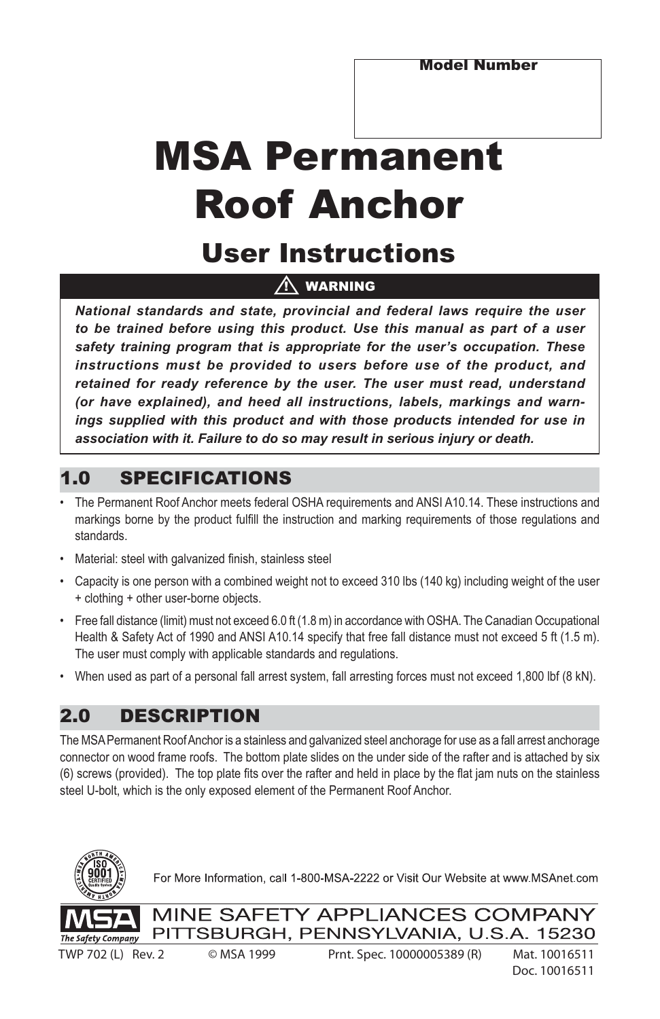# MSA Permanent Roof Anchor

## User Instructions

## $\bigwedge$  warning

*National standards and state, provincial and federal laws require the user to be trained before using this product. Use this manual as part of a user safety training program that is appropriate for the user's occupation. These instructions must be provided to users before use of the product, and retained for ready reference by the user. The user must read, understand (or have explained), and heed all instructions, labels, markings and warnings supplied with this product and with those products intended for use in association with it. Failure to do so may result in serious injury or death.*

## 1.0 SPECIFICATIONS

- The Permanent Roof Anchor meets federal OSHA requirements and ANSI A10.14. These instructions and markings borne by the product fulfill the instruction and marking requirements of those regulations and standards.
- Material: steel with galvanized finish, stainless steel
- Capacity is one person with a combined weight not to exceed 310 lbs (140 kg) including weight of the user + clothing + other user-borne objects.
- Free fall distance (limit) must not exceed 6.0 ft (1.8 m) in accordance with OSHA. The Canadian Occupational Health & Safety Act of 1990 and ANSI A10.14 specify that free fall distance must not exceed 5 ft (1.5 m). The user must comply with applicable standards and regulations.
- When used as part of a personal fall arrest system, fall arresting forces must not exceed 1,800 lbf (8 kN).

## 2.0 DESCRIPTION

The MSA Permanent Roof Anchor is a stainless and galvanized steel anchorage for use as a fall arrest anchorage connector on wood frame roofs. The bottom plate slides on the under side of the rafter and is attached by six (6) screws (provided). The top plate fits over the rafter and held in place by the flat jam nuts on the stainless steel U-bolt, which is the only exposed element of the Permanent Roof Anchor.



For More Information, call 1-800-MSA-2222 or Visit Our Website at www.MSAnet.com



MINE SAFETY APPLIANCES COMPANY PITTSBURGH, PENNSYLVANIA, U.S.A. 15230

TWP 702 (L) Rev. 2 © MSA 1999 Prnt. Spec. 10000005389 (R) Mat. 10016511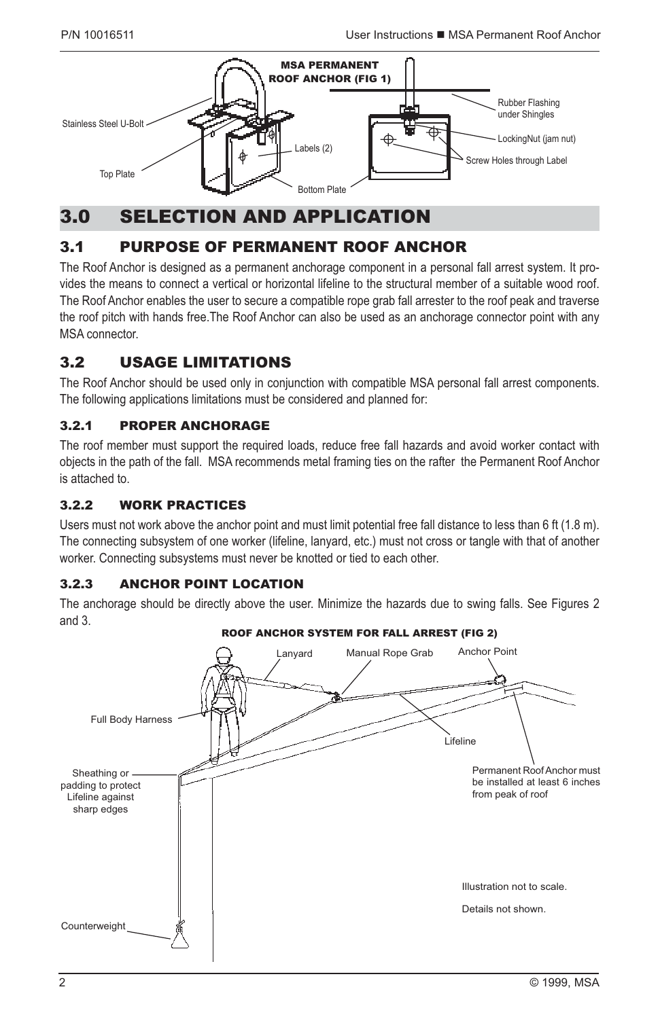

## 3.0 SELECTION AND APPLICATION

## 3.1 PURPOSE OF PERMANENT ROOF ANCHOR

The Roof Anchor is designed as a permanent anchorage component in a personal fall arrest system. It provides the means to connect a vertical or horizontal lifeline to the structural member of a suitable wood roof. The Roof Anchor enables the user to secure a compatible rope grab fall arrester to the roof peak and traverse the roof pitch with hands free.The Roof Anchor can also be used as an anchorage connector point with any MSA connector.

## 3.2 USAGE LIMITATIONS

The Roof Anchor should be used only in conjunction with compatible MSA personal fall arrest components. The following applications limitations must be considered and planned for:

#### 3.2.1 PROPER ANCHORAGE

The roof member must support the required loads, reduce free fall hazards and avoid worker contact with objects in the path of the fall. MSA recommends metal framing ties on the rafter the Permanent Roof Anchor is attached to.

#### 3.2.2 WORK PRACTICES

Users must not work above the anchor point and must limit potential free fall distance to less than 6 ft (1.8 m). The connecting subsystem of one worker (lifeline, lanyard, etc.) must not cross or tangle with that of another worker. Connecting subsystems must never be knotted or tied to each other.

#### 3.2.3 ANCHOR POINT LOCATION

The anchorage should be directly above the user. Minimize the hazards due to swing falls. See Figures 2 and 3.

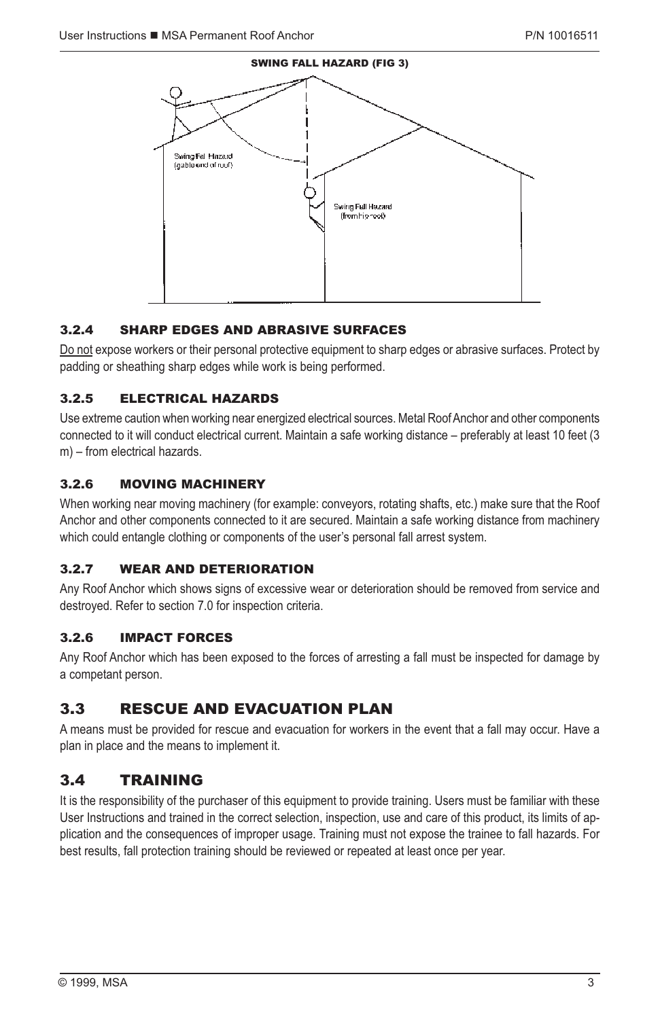

#### 3.2.4 SHARP EDGES AND ABRASIVE SURFACES

Do not expose workers or their personal protective equipment to sharp edges or abrasive surfaces. Protect by padding or sheathing sharp edges while work is being performed.

#### 3.2.5 ELECTRICAL HAZARDS

Use extreme caution when working near energized electrical sources. Metal Roof Anchor and other components connected to it will conduct electrical current. Maintain a safe working distance – preferably at least 10 feet (3 m) – from electrical hazards.

#### 3.2.6 MOVING MACHINERY

When working near moving machinery (for example: conveyors, rotating shafts, etc.) make sure that the Roof Anchor and other components connected to it are secured. Maintain a safe working distance from machinery which could entangle clothing or components of the user's personal fall arrest system.

#### 3.2.7 WEAR AND DETERIORATION

Any Roof Anchor which shows signs of excessive wear or deterioration should be removed from service and destroyed. Refer to section 7.0 for inspection criteria.

#### 3.2.6 IMPACT FORCES

Any Roof Anchor which has been exposed to the forces of arresting a fall must be inspected for damage by a competant person.

#### 3.3 RESCUE AND EVACUATION PLAN

A means must be provided for rescue and evacuation for workers in the event that a fall may occur. Have a plan in place and the means to implement it.

#### 3.4 TRAINING

It is the responsibility of the purchaser of this equipment to provide training. Users must be familiar with these User Instructions and trained in the correct selection, inspection, use and care of this product, its limits of application and the consequences of improper usage. Training must not expose the trainee to fall hazards. For best results, fall protection training should be reviewed or repeated at least once per year.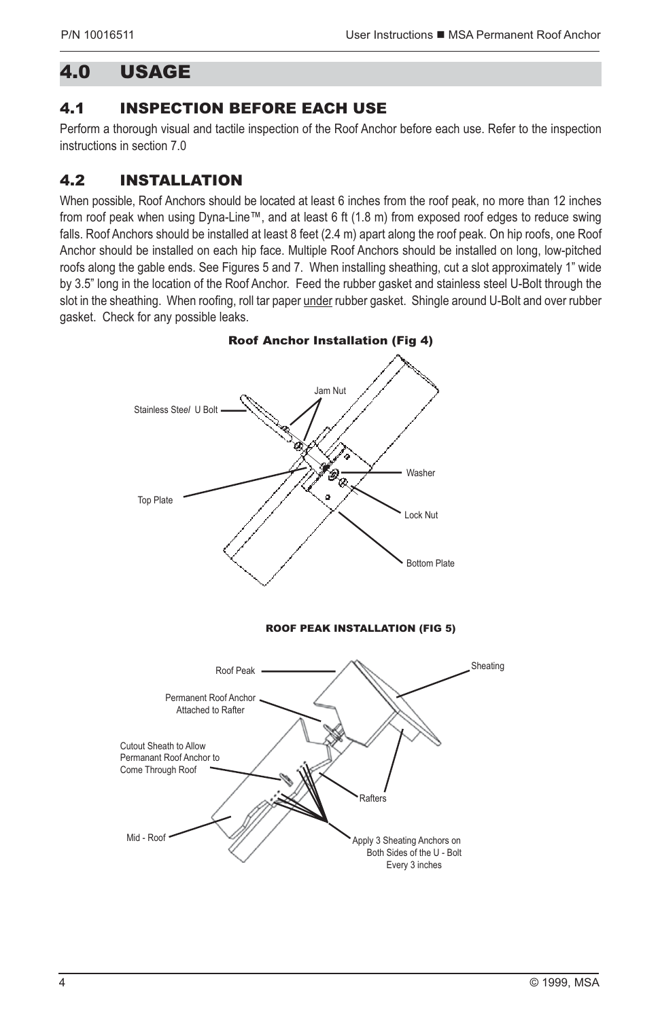## 4.0 USAGE

## 4.1 INSPECTION BEFORE EACH USE

Perform a thorough visual and tactile inspection of the Roof Anchor before each use. Refer to the inspection instructions in section 7.0

## 4.2 INSTALLATION

When possible, Roof Anchors should be located at least 6 inches from the roof peak, no more than 12 inches from roof peak when using Dyna-Line™, and at least 6 ft (1.8 m) from exposed roof edges to reduce swing falls. Roof Anchors should be installed at least 8 feet (2.4 m) apart along the roof peak. On hip roofs, one Roof Anchor should be installed on each hip face. Multiple Roof Anchors should be installed on long, low-pitched roofs along the gable ends. See Figures 5 and 7. When installing sheathing, cut a slot approximately 1" wide by 3.5" long in the location of the Roof Anchor. Feed the rubber gasket and stainless steel U-Bolt through the slot in the sheathing. When roofing, roll tar paper under rubber gasket. Shingle around U-Bolt and over rubber gasket. Check for any possible leaks.

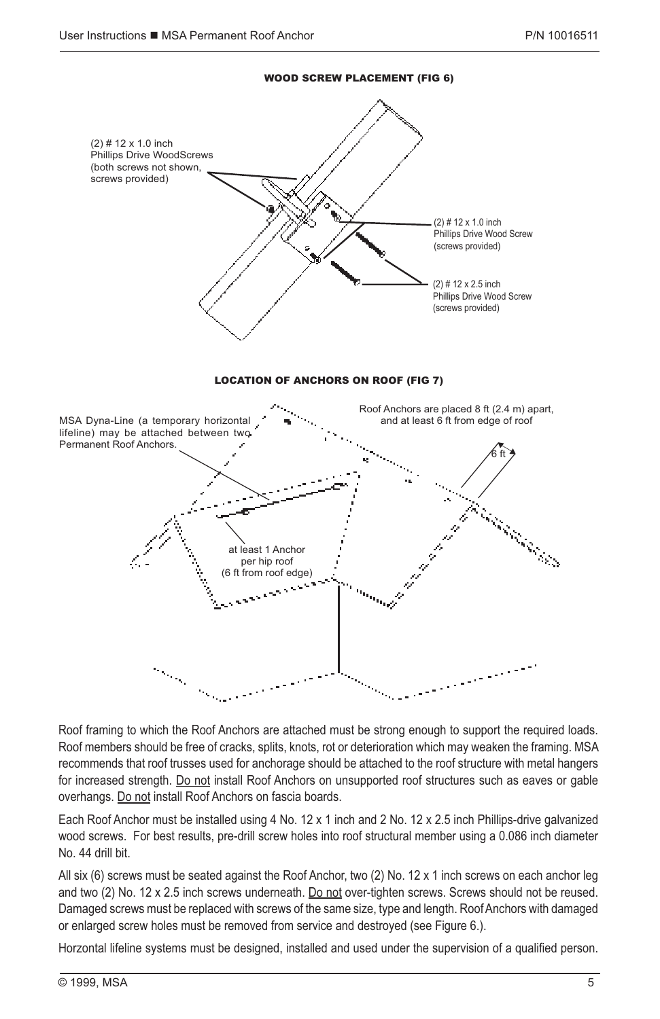

Roof framing to which the Roof Anchors are attached must be strong enough to support the required loads. Roof members should be free of cracks, splits, knots, rot or deterioration which may weaken the framing. MSA recommends that roof trusses used for anchorage should be attached to the roof structure with metal hangers for increased strength. Do not install Roof Anchors on unsupported roof structures such as eaves or gable overhangs. Do not install Roof Anchors on fascia boards.

Each Roof Anchor must be installed using 4 No. 12 x 1 inch and 2 No. 12 x 2.5 inch Phillips-drive galvanized wood screws. For best results, pre-drill screw holes into roof structural member using a 0.086 inch diameter No. 44 drill bit.

All six (6) screws must be seated against the Roof Anchor, two (2) No. 12 x 1 inch screws on each anchor leg and two (2) No. 12 x 2.5 inch screws underneath. Do not over-tighten screws. Screws should not be reused. Damaged screws must be replaced with screws of the same size, type and length. Roof Anchors with damaged or enlarged screw holes must be removed from service and destroyed (see Figure 6.).

Horzontal lifeline systems must be designed, installed and used under the supervision of a qualified person.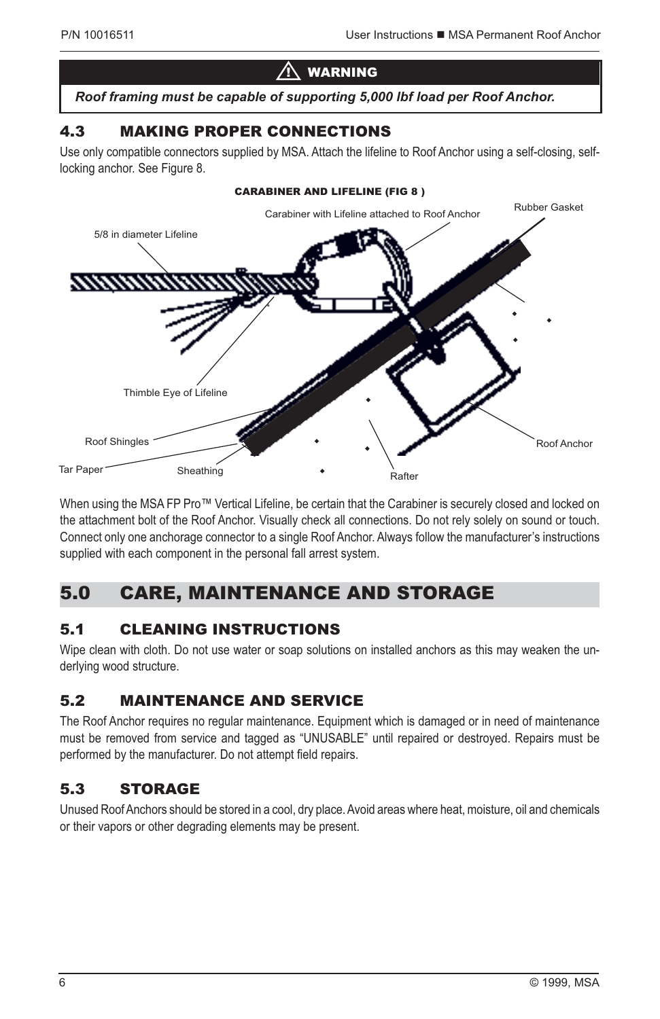## $\bigwedge$  warning

*Roof framing must be capable of supporting 5,000 lbf load per Roof Anchor.*

## 4.3 MAKING PROPER CONNECTIONS

Use only compatible connectors supplied by MSA. Attach the lifeline to Roof Anchor using a self-closing, selflocking anchor. See Figure 8.



When using the MSA FP Pro™ Vertical Lifeline, be certain that the Carabiner is securely closed and locked on the attachment bolt of the Roof Anchor. Visually check all connections. Do not rely solely on sound or touch. Connect only one anchorage connector to a single Roof Anchor. Always follow the manufacturer's instructions supplied with each component in the personal fall arrest system.

## 5.0 CARE, MAINTENANCE AND STORAGE

## 5.1 CLEANING INSTRUCTIONS

Wipe clean with cloth. Do not use water or soap solutions on installed anchors as this may weaken the underlying wood structure.

## 5.2 MAINTENANCE AND SERVICE

The Roof Anchor requires no regular maintenance. Equipment which is damaged or in need of maintenance must be removed from service and tagged as "UNUSABLE" until repaired or destroyed. Repairs must be performed by the manufacturer. Do not attempt field repairs.

## 5.3 STORAGE

Unused Roof Anchors should be stored in a cool, dry place. Avoid areas where heat, moisture, oil and chemicals or their vapors or other degrading elements may be present.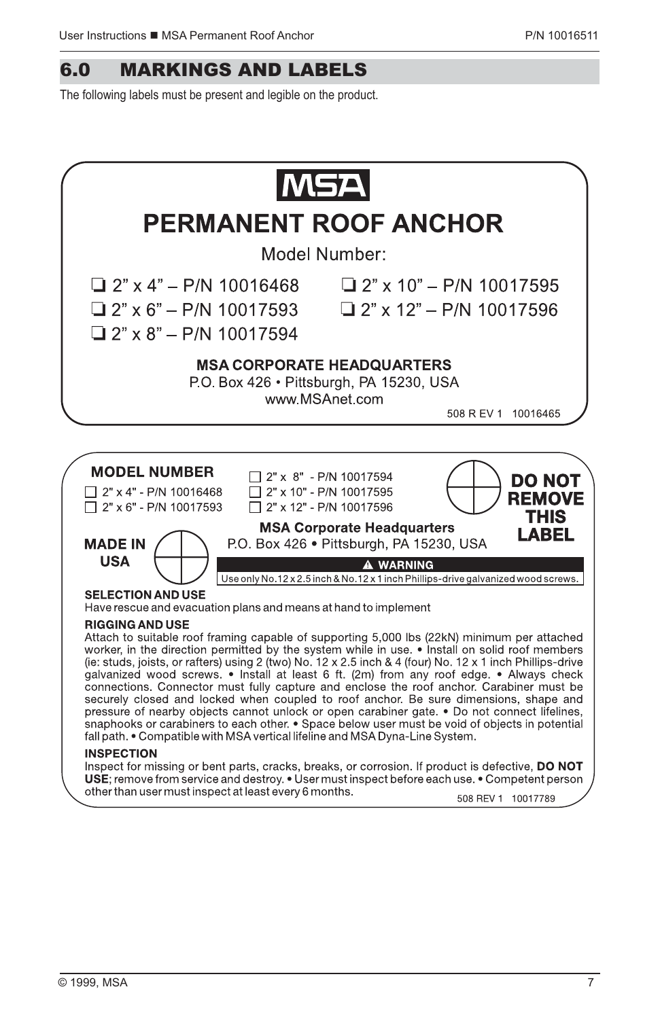## 6.0 MARKINGS AND LABELS

The following labels must be present and legible on the product.